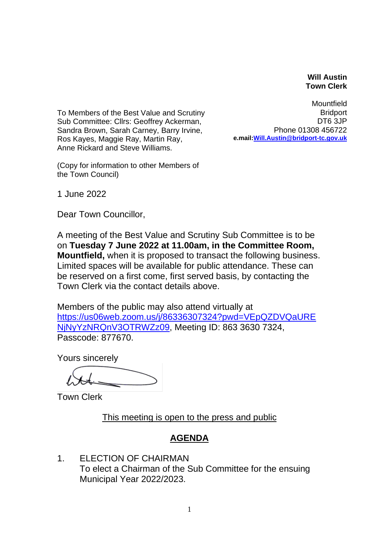## **Will Austin Town Clerk**

To Members of the Best Value and Scrutiny Sub Committee: Cllrs: Geoffrey Ackerman, Sandra Brown, Sarah Carney, Barry Irvine, Ros Kayes, Maggie Ray, Martin Ray, Anne Rickard and Steve Williams.

(Copy for information to other Members of the Town Council)

Mountfield **Bridport** DT6 3JP Phone 01308 456722 **e.mail[:Will.Austin@bridport-tc.gov.uk](mailto:Will.Austin@bridport-tc.gov.uk)** 

1 June 2022

Dear Town Councillor,

A meeting of the Best Value and Scrutiny Sub Committee is to be on **Tuesday 7 June 2022 at 11.00am, in the Committee Room, Mountfield,** when it is proposed to transact the following business. Limited spaces will be available for public attendance. These can be reserved on a first come, first served basis, by contacting the Town Clerk via the contact details above.

Members of the public may also attend virtually at [https://us06web.zoom.us/j/86336307324?pwd=VEpQZDVQaURE](https://us06web.zoom.us/j/86336307324?pwd=VEpQZDVQaURENjNyYzNRQnV3OTRWZz09) [NjNyYzNRQnV3OTRWZz09,](https://us06web.zoom.us/j/86336307324?pwd=VEpQZDVQaURENjNyYzNRQnV3OTRWZz09) Meeting ID: 863 3630 7324, Passcode: 877670.

Yours sincerely

Town Clerk

This meeting is open to the press and public

## **AGENDA**

1. ELECTION OF CHAIRMAN To elect a Chairman of the Sub Committee for the ensuing Municipal Year 2022/2023.